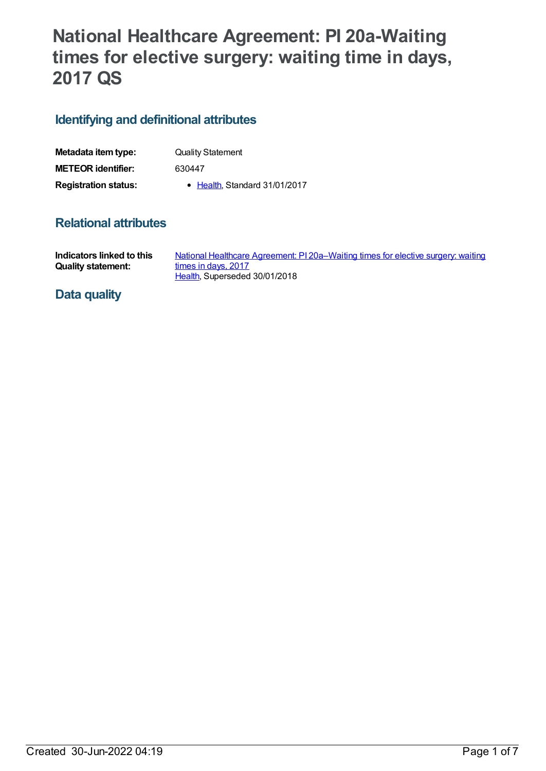# **National Healthcare Agreement: PI 20a-Waiting times for elective surgery: waiting time in days, 2017 QS**

# **Identifying and definitional attributes**

| Metadata item type:         | <b>Quality Statement</b>      |
|-----------------------------|-------------------------------|
| <b>METEOR identifier:</b>   | 630447                        |
| <b>Registration status:</b> | • Health, Standard 31/01/2017 |

## **Relational attributes**

| Indicators linked to this | National Healthcare Agreement: PI 20a–Waiting times for elective surgery: waiting |
|---------------------------|-----------------------------------------------------------------------------------|
| <b>Quality statement:</b> | times in days, 2017                                                               |
|                           | Health. Superseded 30/01/2018                                                     |

### **Data quality**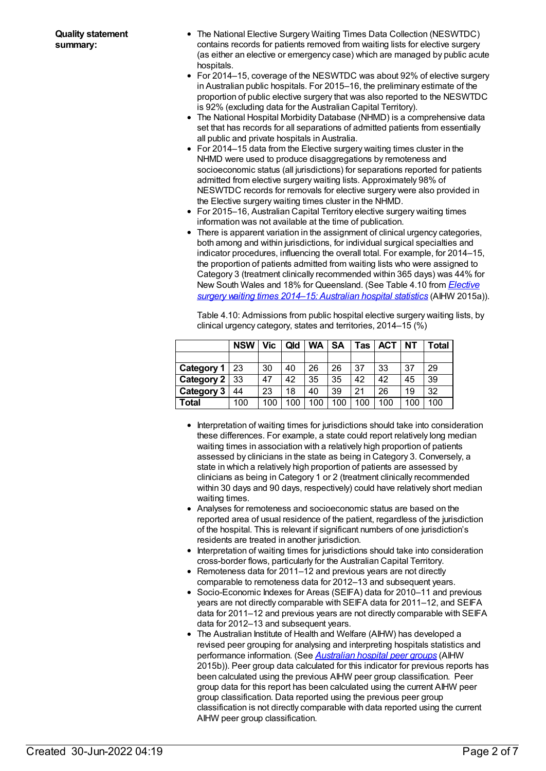- The National Elective Surgery Waiting Times Data Collection (NESWTDC) contains records for patients removed from waiting lists for elective surgery (as either an elective or emergency case) which are managed by public acute hospitals.
- For 2014–15, coverage of the NESWTDC was about 92% of elective surgery in Australian public hospitals. For 2015–16, the preliminary estimate of the proportion of public elective surgery that was also reported to the NESWTDC is 92% (excluding data for the Australian Capital Territory).
- The National Hospital Morbidity Database (NHMD) is a comprehensive data set that has records for all separations of admitted patients from essentially all public and private hospitals in Australia.
- For 2014–15 data from the Elective surgery waiting times cluster in the NHMD were used to produce disaggregations by remoteness and socioeconomic status (all jurisdictions) for separations reported for patients admitted from elective surgery waiting lists. Approximately 98% of NESWTDC records for removals for elective surgery were also provided in the Elective surgery waiting times cluster in the NHMD.
- For 2015–16, Australian Capital Territory elective surgery waiting times information was not available at the time of publication.
- There is apparent variation in the assignment of clinical urgency categories, both among and within jurisdictions, for individual surgical specialties and indicator procedures, influencing the overall total. For example, for 2014–15, the proportion of patients admitted from waiting lists who were assigned to Category 3 (treatment clinically recommended within 365 days) was 44% for New South Wales and 18% for [Queensland.](http://www.aihw.gov.au/publication-detail/?id=60129553174) (See Table 4.10 from *Elective surgery waiting times 2014–15: Australian hospital statistics* (AIHW 2015a)).

Table 4.10: Admissions from public hospital elective surgery waiting lists, by clinical urgency category, states and territories, 2014–15 (%)

|                      | <b>NSW</b> | Vic | Qld | <b>WA</b> | SΑ  | Tas | <b>ACT</b> | NΤ  | Total |
|----------------------|------------|-----|-----|-----------|-----|-----|------------|-----|-------|
|                      |            |     |     |           |     |     |            |     |       |
| Category $1 \mid 23$ |            | 30  | 40  | 26        | 26  | 37  | 33         | 37  | 29    |
| Category $2 \mid 33$ |            | 47  | 42  | 35        | 35  | 42  | 42         | 45  | 39    |
| Category 3           | 44         | 23  | 18  | 40        | 39  | 21  | 26         | 19  | 32    |
| Total                | 100        | 100 | 100 | 100       | 100 | 100 | 100        | 100 | 100   |

- Interpretation of waiting times for jurisdictions should take into consideration these differences. For example, a state could report relatively long median waiting times in association with a relatively high proportion of patients assessed by clinicians in the state as being in Category 3. Conversely, a state in which a relatively high proportion of patients are assessed by clinicians as being in Category 1 or 2 (treatment clinically recommended within 30 days and 90 days, respectively) could have relatively short median waiting times.
- Analyses for remoteness and socioeconomic status are based on the reported area of usual residence of the patient, regardless of the jurisdiction of the hospital. This is relevant if significant numbers of one jurisdiction's residents are treated in another jurisdiction.
- Interpretation of waiting times for jurisdictions should take into consideration cross-border flows, particularly for the Australian Capital Territory.
- Remoteness data for 2011–12 and previous years are not directly comparable to remoteness data for 2012–13 and subsequent years.
- Socio-Economic Indexes for Areas (SEIFA) data for 2010–11 and previous years are not directly comparable with SEIFA data for 2011–12, and SEIFA data for 2011–12 and previous years are not directly comparable with SEIFA data for 2012–13 and subsequent years.
- The Australian Institute of Health and Welfare (AIHW) has developed a revised peer grouping for analysing and interpreting hospitals statistics and performance information. (See *[Australian](http://www.aihw.gov.au/publication-detail/?id=60129553446) hospital peer groups* (AIHW 2015b)). Peer group data calculated for this indicator for previous reports has been calculated using the previous AIHW peer group classification. Peer group data for this report has been calculated using the current AIHW peer group classification. Data reported using the previous peer group classification is not directly comparable with data reported using the current AIHW peer group classification.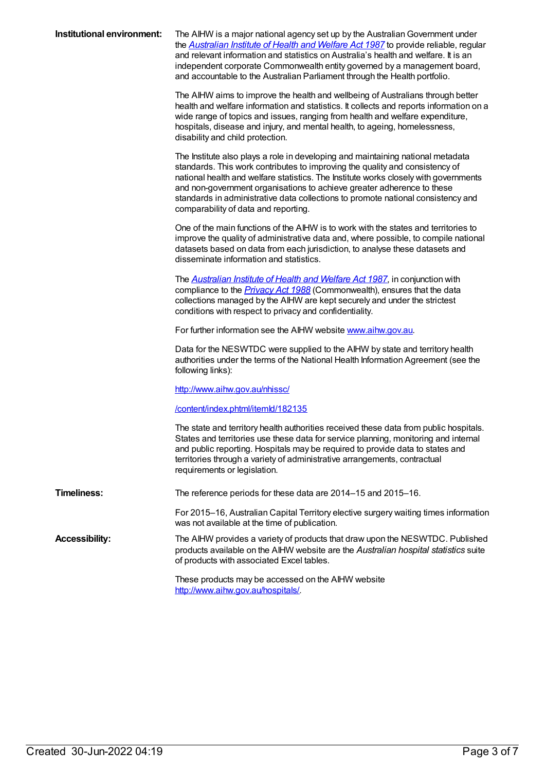**Institutional environment:** The AIHW is a major national agency set up by the Australian Government under the *[Australian](https://www.legislation.gov.au/Series/C2004A03450) Institute of Health and Welfare Act 1987* to provide reliable, regular and relevant information and statistics on Australia's health and welfare. It is an independent corporate Commonwealth entity governed by a management board, and accountable to the Australian Parliament through the Health portfolio.

> The AIHW aims to improve the health and wellbeing of Australians through better health and welfare information and statistics. It collects and reports information on a wide range of topics and issues, ranging from health and welfare expenditure, hospitals, disease and injury, and mental health, to ageing, homelessness, disability and child protection.

The Institute also plays a role in developing and maintaining national metadata standards. This work contributes to improving the quality and consistency of national health and welfare statistics. The Institute works closely with governments and non-government organisations to achieve greater adherence to these standards in administrative data collections to promote national consistency and comparability of data and reporting.

One of the main functions of the AIHW is to work with the states and territories to improve the quality of administrative data and, where possible, to compile national datasets based on data from each jurisdiction, to analyse these datasets and disseminate information and statistics.

The *[Australian](https://www.legislation.gov.au/Series/C2004A03450) Institute of Health and Welfare Act 1987*, in conjunction with compliance to the *[Privacy](http://www.legislation.gov.au/Series/C2004A03712) Act 1988* (Commonwealth), ensures that the data collections managed by the AIHW are kept securely and under the strictest conditions with respect to privacy and confidentiality.

For further information see the AIHW website [www.aihw.gov.au](http://www.aihw.gov.au/).

Data for the NESWTDC were supplied to the AIHW by state and territory health authorities under the terms of the National Health Information Agreement (see the following links):

<http://www.aihw.gov.au/nhissc/>

[/content/index.phtml/itemId/182135](file:///content/182135)

The state and territory health authorities received these data from public hospitals. States and territories use these data for service planning, monitoring and internal and public reporting. Hospitals may be required to provide data to states and territories through a variety of administrative arrangements, contractual requirements or legislation.

**Timeliness:** The reference periods for these data are 2014–15 and 2015–16.

For 2015–16, Australian Capital Territory elective surgery waiting times information was not available at the time of publication.

**Accessibility:** The AIHW provides a variety of products that draw upon the NESWTDC. Published products available on the AIHW website are the *Australian hospital statistics* suite of products with associated Excel tables.

> These products may be accessed on the AIHW website <http://www.aihw.gov.au/hospitals/>.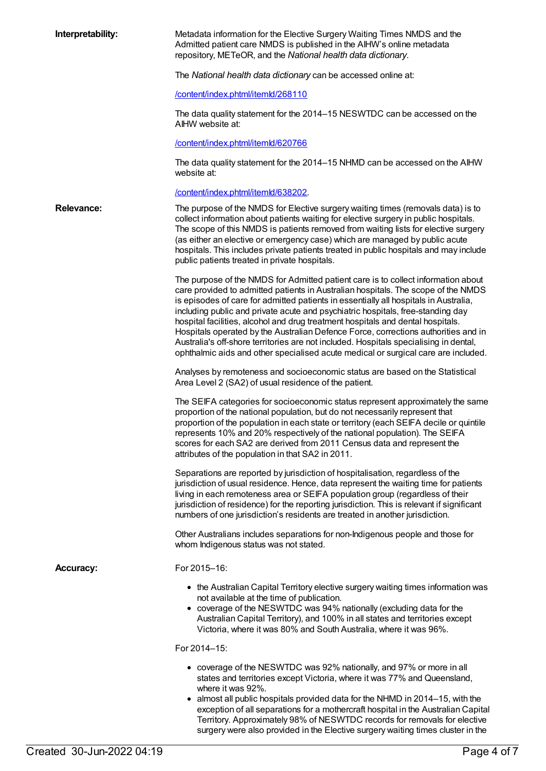| Interpretability: | Metadata information for the Elective Surgery Waiting Times NMDS and the<br>Admitted patient care NMDS is published in the AIHW's online metadata<br>repository, METeOR, and the National health data dictionary.                                                                                                                                                                                                                                                                                                                                                                                                                                                                                         |
|-------------------|-----------------------------------------------------------------------------------------------------------------------------------------------------------------------------------------------------------------------------------------------------------------------------------------------------------------------------------------------------------------------------------------------------------------------------------------------------------------------------------------------------------------------------------------------------------------------------------------------------------------------------------------------------------------------------------------------------------|
|                   | The National health data dictionary can be accessed online at:                                                                                                                                                                                                                                                                                                                                                                                                                                                                                                                                                                                                                                            |
|                   | /content/index.phtml/itemld/268110                                                                                                                                                                                                                                                                                                                                                                                                                                                                                                                                                                                                                                                                        |
|                   | The data quality statement for the 2014–15 NESWTDC can be accessed on the<br>AIHW website at:                                                                                                                                                                                                                                                                                                                                                                                                                                                                                                                                                                                                             |
|                   | /content/index.phtml/itemld/620766                                                                                                                                                                                                                                                                                                                                                                                                                                                                                                                                                                                                                                                                        |
|                   | The data quality statement for the 2014–15 NHMD can be accessed on the AIHW<br>website at:                                                                                                                                                                                                                                                                                                                                                                                                                                                                                                                                                                                                                |
|                   | /content/index.phtml/itemld/638202.                                                                                                                                                                                                                                                                                                                                                                                                                                                                                                                                                                                                                                                                       |
| <b>Relevance:</b> | The purpose of the NMDS for Elective surgery waiting times (removals data) is to<br>collect information about patients waiting for elective surgery in public hospitals.<br>The scope of this NMDS is patients removed from waiting lists for elective surgery<br>(as either an elective or emergency case) which are managed by public acute<br>hospitals. This includes private patients treated in public hospitals and may include<br>public patients treated in private hospitals.                                                                                                                                                                                                                   |
|                   | The purpose of the NMDS for Admitted patient care is to collect information about<br>care provided to admitted patients in Australian hospitals. The scope of the NMDS<br>is episodes of care for admitted patients in essentially all hospitals in Australia,<br>including public and private acute and psychiatric hospitals, free-standing day<br>hospital facilities, alcohol and drug treatment hospitals and dental hospitals.<br>Hospitals operated by the Australian Defence Force, corrections authorities and in<br>Australia's off-shore territories are not included. Hospitals specialising in dental,<br>ophthalmic aids and other specialised acute medical or surgical care are included. |
|                   | Analyses by remoteness and socioeconomic status are based on the Statistical<br>Area Level 2 (SA2) of usual residence of the patient.                                                                                                                                                                                                                                                                                                                                                                                                                                                                                                                                                                     |
|                   | The SEIFA categories for socioeconomic status represent approximately the same<br>proportion of the national population, but do not necessarily represent that<br>proportion of the population in each state or territory (each SEIFA decile or quintile<br>represents 10% and 20% respectively of the national population). The SEIFA<br>scores for each SA2 are derived from 2011 Census data and represent the<br>attributes of the population in that SA2 in 2011.                                                                                                                                                                                                                                    |
|                   | Separations are reported by jurisdiction of hospitalisation, regardless of the<br>jurisdiction of usual residence. Hence, data represent the waiting time for patients<br>living in each remoteness area or SEIFA population group (regardless of their<br>jurisdiction of residence) for the reporting jurisdiction. This is relevant if significant<br>numbers of one jurisdiction's residents are treated in another jurisdiction.                                                                                                                                                                                                                                                                     |
|                   | Other Australians includes separations for non-Indigenous people and those for<br>whom Indigenous status was not stated.                                                                                                                                                                                                                                                                                                                                                                                                                                                                                                                                                                                  |
| <b>Accuracy:</b>  | For 2015-16:                                                                                                                                                                                                                                                                                                                                                                                                                                                                                                                                                                                                                                                                                              |
|                   | • the Australian Capital Territory elective surgery waiting times information was<br>not available at the time of publication.<br>• coverage of the NESWTDC was 94% nationally (excluding data for the<br>Australian Capital Territory), and 100% in all states and territories except<br>Victoria, where it was 80% and South Australia, where it was 96%.                                                                                                                                                                                                                                                                                                                                               |
|                   | For 2014-15:                                                                                                                                                                                                                                                                                                                                                                                                                                                                                                                                                                                                                                                                                              |
|                   | • coverage of the NESWTDC was 92% nationally, and 97% or more in all<br>states and territories except Victoria, where it was 77% and Queensland,<br>where it was 92%.<br>almost all public hospitals provided data for the NHMD in 2014–15, with the<br>exception of all separations for a mothercraft hospital in the Australian Capital<br>Territory. Approximately 98% of NESWTDC records for removals for elective<br>surgery were also provided in the Elective surgery waiting times cluster in the                                                                                                                                                                                                 |
|                   |                                                                                                                                                                                                                                                                                                                                                                                                                                                                                                                                                                                                                                                                                                           |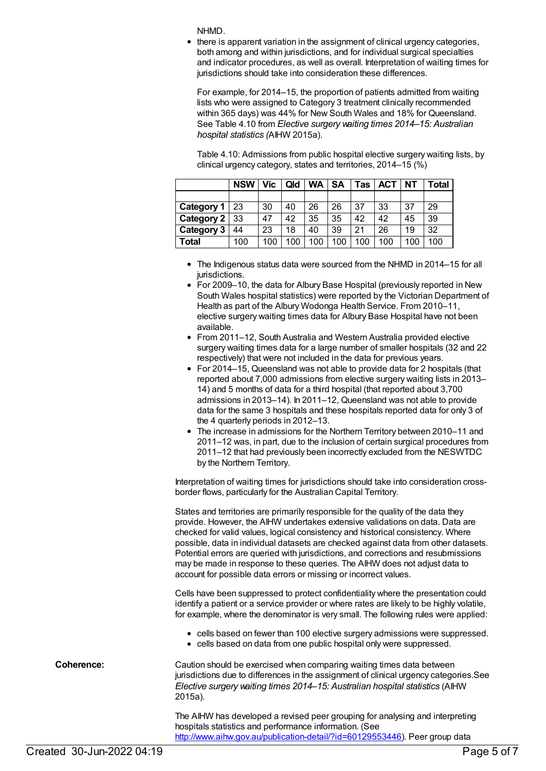NHMD.

• there is apparent variation in the assignment of clinical urgency categories, both among and within jurisdictions, and for individual surgical specialties and indicator procedures, as well as overall. Interpretation of waiting times for jurisdictions should take into consideration these differences.

For example, for 2014–15, the proportion of patients admitted from waiting lists who were assigned to Category 3 treatment clinically recommended within 365 days) was 44% for New South Wales and 18% for Queensland. See Table 4.10 from *Elective surgery waiting times 2014–15: Australian hospital statistics (*AIHW 2015a).

Table 4.10: Admissions from public hospital elective surgery waiting lists, by clinical urgency category, states and territories, 2014–15 (%)

|                   | <b>NSW</b> | Vic . | Qld | <b>WA</b> | SΑ  | Tas | <b>ACT</b> | <b>NT</b> | Total |
|-------------------|------------|-------|-----|-----------|-----|-----|------------|-----------|-------|
|                   |            |       |     |           |     |     |            |           |       |
| Category 1        | 23         | 30    | 40  | 26        | 26  | 37  | 33         | 37        | 29    |
| Category $2 \mid$ | 33         | 47    | 42  | 35        | 35  | 42  | 42         | 45        | 39    |
| Category 3        | 44         | 23    | 18  | 40        | 39  | 21  | 26         | 19        | 32    |
| Total             | 100        | 100   | 100 | 100       | 100 | 100 | 100        | 100       | 100   |

- The Indigenous status data were sourced from the NHMD in 2014–15 for all jurisdictions.
- For 2009–10, the data for Albury Base Hospital (previously reported in New South Wales hospital statistics) were reported by the Victorian Department of Health as part of the Albury Wodonga Health Service. From 2010–11, elective surgery waiting times data for Albury Base Hospital have not been available.
- From 2011–12, South Australia and Western Australia provided elective surgery waiting times data for a large number of smaller hospitals (32 and 22 respectively) that were not included in the data for previous years.
- For 2014–15, Queensland was not able to provide data for 2 hospitals (that reported about 7,000 admissions from elective surgery waiting lists in 2013– 14) and 5 months of data for a third hospital (that reported about 3,700 admissions in 2013–14). In 2011–12, Queensland was not able to provide data for the same 3 hospitals and these hospitals reported data for only 3 of the 4 quarterly periods in 2012–13.
- The increase in admissions for the Northern Territory between 2010–11 and 2011–12 was, in part, due to the inclusion of certain surgical procedures from 2011–12 that had previously been incorrectly excluded from the NESWTDC by the Northern Territory.

Interpretation of waiting times for jurisdictions should take into consideration crossborder flows, particularly for the Australian Capital Territory.

States and territories are primarily responsible for the quality of the data they provide. However, the AIHW undertakes extensive validations on data. Data are checked for valid values, logical consistency and historical consistency. Where possible, data in individual datasets are checked against data from other datasets. Potential errors are queried with jurisdictions, and corrections and resubmissions may be made in response to these queries. The AIHW does not adjust data to account for possible data errors or missing or incorrect values.

Cells have been suppressed to protect confidentiality where the presentation could identify a patient or a service provider or where rates are likely to be highly volatile, for example, where the denominator is very small. The following rules were applied:

- cells based on fewer than 100 elective surgery admissions were suppressed.
- cells based on data from one public hospital only were suppressed.

**Coherence:** Caution should be exercised when comparing waiting times data between jurisdictions due to differences in the assignment of clinical urgency categories.See *Elective surgery waiting times 2014–15: Australian hospital statistics* (AIHW 2015a).

> The AIHW has developed a revised peer grouping for analysing and interpreting hospitals statistics and performance information. (See <http://www.aihw.gov.au/publication-detail/?id=60129553446>). Peer group data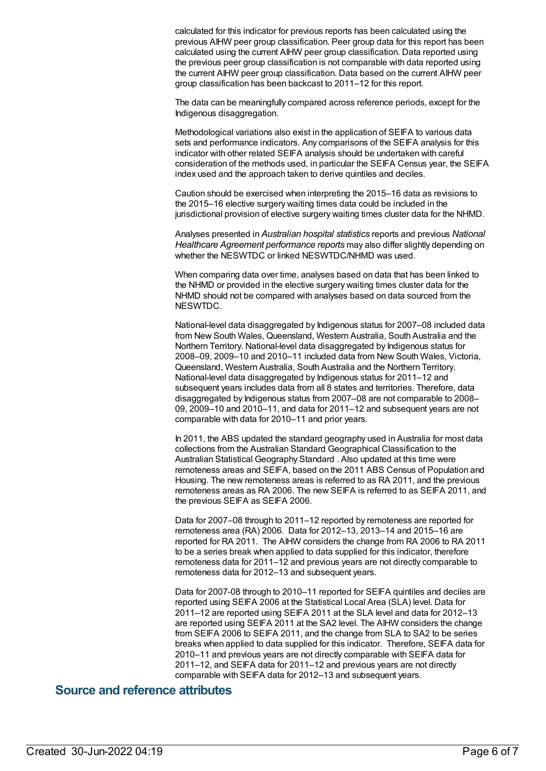calculated for this indicator for previous reports has been calculated using the previous AIHW peer group classification. Peer group data for this report has been calculated using the current AIHW peer group classification. Data reported using the previous peer group classification is not comparable with data reported using the current AIHW peer group classification. Data based on the current AIHW peer group classification has been backcast to 2011–12 for this report.

The data can be meaningfully compared across reference periods, except for the Indigenous disaggregation.

Methodological variations also exist in the application of SEIFA to various data sets and performance indicators. Any comparisons of the SEIFA analysis for this indicator with other related SEIFA analysis should be undertaken with careful consideration of the methods used, in particular the SEIFA Census year, the SEIFA index used and the approach taken to derive quintiles and deciles.

Caution should be exercised when interpreting the 2015–16 data as revisions to the 2015–16 elective surgery waiting times data could be included in the jurisdictional provision of elective surgery waiting times cluster data for the NHMD.

Analyses presented in *Australian hospital statistics* reports and previous *National Healthcare Agreement performance reports* may also differ slightly depending on whether the NESWTDC or linked NESWTDC/NHMD was used.

When comparing data over time, analyses based on data that has been linked to the NHMD or provided in the elective surgery waiting times cluster data for the NHMD should not be compared with analyses based on data sourced from the NESWTDC.

National-level data disaggregated by Indigenous status for 2007–08 included data from New South Wales, Queensland, Western Australia, South Australia and the Northern Territory. National-level data disaggregated by Indigenous status for 2008–09, 2009–10 and 2010–11 included data from New South Wales, Victoria, Queensland, Western Australia, South Australia and the Northern Territory. National-level data disaggregated by Indigenous status for 2011–12 and subsequent years includes data from all 8 states and territories. Therefore, data disaggregated by Indigenous status from 2007–08 are not comparable to 2008– 09, 2009–10 and 2010–11, and data for 2011–12 and subsequent years are not comparable with data for 2010–11 and prior years.

In 2011, the ABS updated the standard geography used in Australia for most data collections from the Australian Standard Geographical Classification to the Australian Statistical Geography Standard . Also updated at this time were remoteness areas and SEIFA, based on the 2011 ABS Census of Population and Housing. The new remoteness areas is referred to as RA 2011, and the previous remoteness areas as RA 2006. The new SEIFA is referred to as SEIFA 2011, and the previous SEIFA as SEIFA 2006.

Data for 2007–08 through to 2011–12 reported by remoteness are reported for remoteness area (RA) 2006. Data for 2012–13, 2013–14 and 2015–16 are reported for RA 2011. The AIHW considers the change from RA 2006 to RA 2011 to be a series break when applied to data supplied for this indicator, therefore remoteness data for 2011–12 and previous years are not directly comparable to remoteness data for 2012–13 and subsequent years.

Data for 2007-08 through to 2010–11 reported for SEIFA quintiles and deciles are reported using SEIFA 2006 at the Statistical Local Area (SLA) level. Data for 2011–12 are reported using SEIFA 2011 at the SLA level and data for 2012–13 are reported using SEIFA 2011 at the SA2 level. The AIHW considers the change from SEIFA 2006 to SEIFA 2011, and the change from SLA to SA2 to be series breaks when applied to data supplied for this indicator. Therefore, SEIFA data for 2010–11 and previous years are not directly comparable with SEIFA data for 2011–12, and SEIFA data for 2011–12 and previous years are not directly comparable with SEIFA data for 2012–13 and subsequent years.

#### **Source and reference attributes**